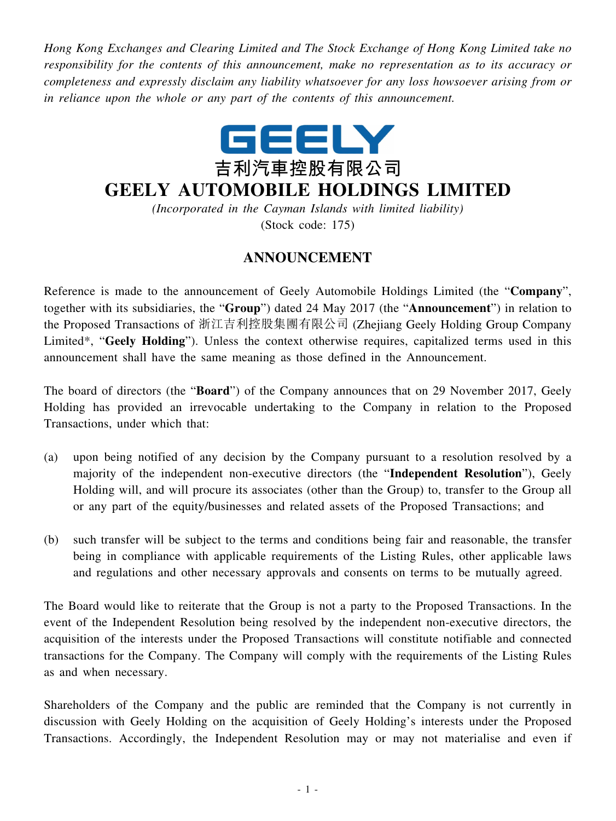*Hong Kong Exchanges and Clearing Limited and The Stock Exchange of Hong Kong Limited take no responsibility for the contents of this announcement, make no representation as to its accuracy or completeness and expressly disclaim any liability whatsoever for any loss howsoever arising from or in reliance upon the whole or any part of the contents of this announcement.*



## **GEELY AUTOMOBILE HOLDINGS LIMITED**

*(Incorporated in the Cayman Islands with limited liability)* (Stock code: 175)

## **ANNOUNCEMENT**

Reference is made to the announcement of Geely Automobile Holdings Limited (the "**Company**", together with its subsidiaries, the "**Group**") dated 24 May 2017 (the "**Announcement**") in relation to the Proposed Transactions of 浙江吉利控股集團有限公司 (Zhejiang Geely Holding Group Company Limited\*, "**Geely Holding**"). Unless the context otherwise requires, capitalized terms used in this announcement shall have the same meaning as those defined in the Announcement.

The board of directors (the "**Board**") of the Company announces that on 29 November 2017, Geely Holding has provided an irrevocable undertaking to the Company in relation to the Proposed Transactions, under which that:

- (a) upon being notified of any decision by the Company pursuant to a resolution resolved by a majority of the independent non-executive directors (the "**Independent Resolution**"), Geely Holding will, and will procure its associates (other than the Group) to, transfer to the Group all or any part of the equity/businesses and related assets of the Proposed Transactions; and
- (b) such transfer will be subject to the terms and conditions being fair and reasonable, the transfer being in compliance with applicable requirements of the Listing Rules, other applicable laws and regulations and other necessary approvals and consents on terms to be mutually agreed.

The Board would like to reiterate that the Group is not a party to the Proposed Transactions. In the event of the Independent Resolution being resolved by the independent non-executive directors, the acquisition of the interests under the Proposed Transactions will constitute notifiable and connected transactions for the Company. The Company will comply with the requirements of the Listing Rules as and when necessary.

Shareholders of the Company and the public are reminded that the Company is not currently in discussion with Geely Holding on the acquisition of Geely Holding's interests under the Proposed Transactions. Accordingly, the Independent Resolution may or may not materialise and even if